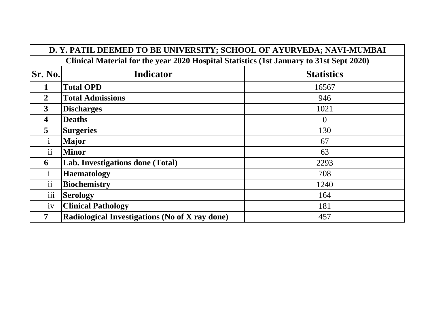| D. Y. PATIL DEEMED TO BE UNIVERSITY; SCHOOL OF AYURVEDA; NAVI-MUMBAI                    |                                                |                   |  |  |
|-----------------------------------------------------------------------------------------|------------------------------------------------|-------------------|--|--|
| Clinical Material for the year 2020 Hospital Statistics (1st January to 31st Sept 2020) |                                                |                   |  |  |
| <b>Sr. No.</b>                                                                          | <b>Indicator</b>                               | <b>Statistics</b> |  |  |
| 1                                                                                       | <b>Total OPD</b>                               | 16567             |  |  |
| $\overline{2}$                                                                          | <b>Total Admissions</b>                        | 946               |  |  |
| 3                                                                                       | <b>Discharges</b>                              | 1021              |  |  |
| 4                                                                                       | <b>Deaths</b>                                  | $\theta$          |  |  |
| 5                                                                                       | <b>Surgeries</b>                               | 130               |  |  |
| $\mathbf{1}$                                                                            | <b>Major</b>                                   | 67                |  |  |
| $\mathbf{ii}$                                                                           | <b>Minor</b>                                   | 63                |  |  |
| 6                                                                                       | Lab. Investigations done (Total)               | 2293              |  |  |
| $\mathbf{1}$                                                                            | <b>Haematology</b>                             | 708               |  |  |
| ii                                                                                      | <b>Biochemistry</b>                            | 1240              |  |  |
| $\ddotsc$<br>111                                                                        | <b>Serology</b>                                | 164               |  |  |
| 1V                                                                                      | <b>Clinical Pathology</b>                      | 181               |  |  |
| 7                                                                                       | Radiological Investigations (No of X ray done) | 457               |  |  |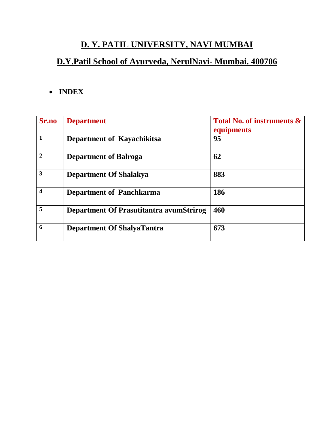# **D. Y. PATIL UNIVERSITY, NAVI MUMBAI**

# **D.Y.Patil School of Ayurveda, NerulNavi- Mumbai. 400706**

### **INDEX**

| Sr.no        | <b>Department</b>                        | <b>Total No. of instruments &amp;</b><br>equipments |
|--------------|------------------------------------------|-----------------------------------------------------|
| 1            | Department of Kayachikitsa               | 95                                                  |
| $\mathbf{2}$ | <b>Department of Balroga</b>             | 62                                                  |
| 3            | <b>Department Of Shalakya</b>            | 883                                                 |
| 4            | <b>Department of Panchkarma</b>          | 186                                                 |
| 5            | Department Of Prasutitantra avum Strirog | 460                                                 |
| 6            | <b>Department Of ShalyaTantra</b>        | 673                                                 |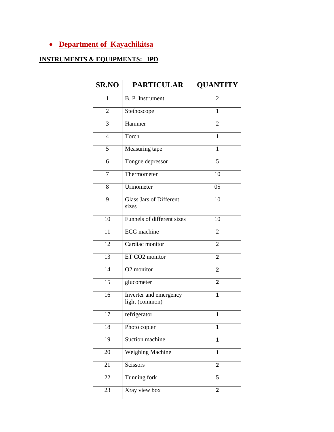### **Department of Kayachikitsa**

### **INSTRUMENTS & EQUIPMENTS: IPD**

| <b>SR.NO</b>    | <b>PARTICULAR</b>                               | <b>QUANTITY</b>  |
|-----------------|-------------------------------------------------|------------------|
| $\mathbf{1}$    | B. P. Instrument                                | 2                |
| 2               | Stethoscope                                     | 1                |
| 3               | Hammer                                          | 2                |
| $\overline{4}$  | Torch                                           | 1                |
| 5               | Measuring tape                                  | 1                |
| 6               | Tongue depressor                                | 5                |
| $\overline{7}$  | Thermometer                                     | 10               |
| 8               | Urinometer                                      | 05               |
| 9               | <b>Glass Jars of Different</b><br>sizes         | 10               |
| 10              | Funnels of different sizes                      | 10               |
| 11              | <b>ECG</b> machine                              | 2                |
| 12              | Cardiac monitor                                 | $\overline{2}$   |
| $\overline{13}$ | ET CO2 monitor                                  | $\overline{2}$   |
| 14              | O <sub>2</sub> monitor                          | $\overline{2}$   |
| 15              | glucometer                                      | $\overline{2}$   |
| 16              | <b>Inverter</b> and emergency<br>light (common) | $\mathbf{1}$     |
| 17              | refrigerator                                    | 1                |
| 18              | Photo copier                                    | $\mathbf{1}$     |
| 19              | Suction machine                                 | $\mathbf{1}$     |
| 20              | <b>Weighing Machine</b>                         | $\mathbf{1}$     |
| 21              | Scissors                                        | $\overline{2}$   |
| 22              | Tunning fork                                    | 5                |
| 23              | Xray view box                                   | $\boldsymbol{2}$ |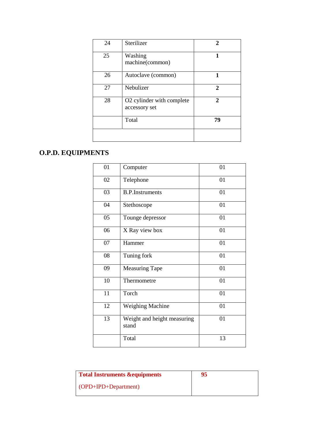| 24 | Sterilizer                                 |                             |
|----|--------------------------------------------|-----------------------------|
| 25 | Washing<br>machine(common)                 | 1                           |
| 26 | Autoclave (common)                         |                             |
| 27 | Nebulizer                                  | $\mathcal{D}_{\mathcal{L}}$ |
| 28 | O2 cylinder with complete<br>accessory set | 2                           |
|    | Total                                      | 79                          |
|    |                                            |                             |

# **O.P.D. EQUIPMENTS**

| 01 | Computer                             | 01 |
|----|--------------------------------------|----|
| 02 | Telephone                            | 01 |
| 03 | <b>B.P.Instruments</b>               | 01 |
| 04 | Stethoscope                          | 01 |
| 05 | Tounge depressor                     | 01 |
| 06 | X Ray view box                       | 01 |
| 07 | Hammer                               | 01 |
| 08 | Tuning fork                          | 01 |
| 09 | <b>Measuring Tape</b>                | 01 |
| 10 | Thermometre                          | 01 |
| 11 | Torch                                | 01 |
| 12 | <b>Weighing Machine</b>              | 01 |
| 13 | Weight and height measuring<br>stand | 01 |
|    | Total                                | 13 |

| <b>Total Instruments &amp; equipments</b> | 95 |
|-------------------------------------------|----|
| $\overline{OPD+IPD+Department}$           |    |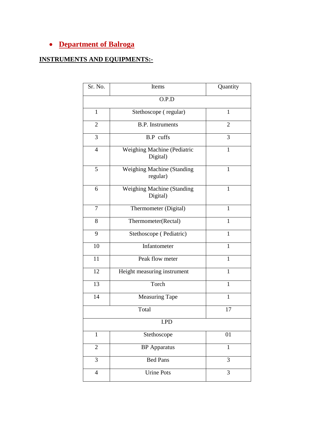### **Department of Balroga**

#### **INSTRUMENTS AND EQUIPMENTS:-**

| Sr. No.        | Items                                         | Quantity       |  |
|----------------|-----------------------------------------------|----------------|--|
|                | O.P.D                                         |                |  |
| $\mathbf{1}$   | Stethoscope (regular)                         | 1              |  |
| $\overline{2}$ | <b>B.P.</b> Instruments                       | $\overline{2}$ |  |
| 3              | <b>B.P</b> cuffs                              | 3              |  |
| $\overline{4}$ | Weighing Machine (Pediatric<br>Digital)       | $\mathbf{1}$   |  |
| 5              | Weighing Machine (Standing<br>regular)        | $\mathbf{1}$   |  |
| 6              | <b>Weighing Machine (Standing</b><br>Digital) | 1              |  |
| $\tau$         | Thermometer (Digital)                         | 1              |  |
| 8              | Thermometer(Rectal)                           | 1              |  |
| 9              | Stethoscope (Pediatric)                       | $\mathbf{1}$   |  |
| 10             | Infantometer                                  | $\mathbf{1}$   |  |
| 11             | Peak flow meter                               | $\mathbf{1}$   |  |
| 12             | Height measuring instrument                   | $\mathbf{1}$   |  |
| 13             | Torch                                         | $\mathbf{1}$   |  |
| 14             | <b>Measuring Tape</b>                         | 1              |  |
|                | Total                                         | 17             |  |
| I.PD           |                                               |                |  |
| $\mathbf{1}$   | Stethoscope                                   | 01             |  |
| $\overline{2}$ | <b>BP</b> Apparatus                           | $\mathbf{1}$   |  |
| 3              | <b>Bed Pans</b>                               | 3              |  |
| $\overline{4}$ | <b>Urine Pots</b>                             | 3              |  |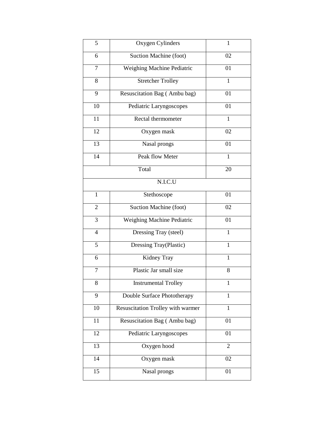| 5                        | Oxygen Cylinders                  | 1              |
|--------------------------|-----------------------------------|----------------|
| 6                        | Suction Machine (foot)            | 02             |
| 7                        | Weighing Machine Pediatric        | 01             |
| 8                        | <b>Stretcher Trolley</b>          | $\mathbf{1}$   |
| 9                        | Resuscitation Bag (Ambu bag)      | 01             |
| 10                       | Pediatric Laryngoscopes           | 01             |
| 11                       | Rectal thermometer                | $\mathbf{1}$   |
| 12                       | Oxygen mask                       | 02             |
| 13                       | Nasal prongs                      | 01             |
| 14                       | Peak flow Meter                   | $\mathbf{1}$   |
|                          | Total                             | 20             |
|                          | N.I.C.U                           |                |
| $\mathbf{1}$             | Stethoscope                       | 01             |
| $\overline{2}$           | Suction Machine (foot)            | 02             |
| 3                        | Weighing Machine Pediatric        | 01             |
| $\overline{\mathcal{L}}$ | Dressing Tray (steel)             | 1              |
| 5                        | Dressing Tray(Plastic)            | 1              |
| 6                        | Kidney Tray                       | 1              |
| 7                        | Plastic Jar small size            | 8              |
| 8                        | <b>Instrumental Trolley</b>       | 1              |
| 9                        | Double Surface Phototherapy       | 1              |
| 10                       | Resuscitation Trolley with warmer | 1              |
| 11                       | Resuscitation Bag (Ambu bag)      | 01             |
| 12                       | Pediatric Laryngoscopes           | 01             |
| $\overline{13}$          | Oxygen hood                       | $\overline{2}$ |
| 14                       | Oxygen mask                       | 02             |
| 15                       | Nasal prongs                      | 01             |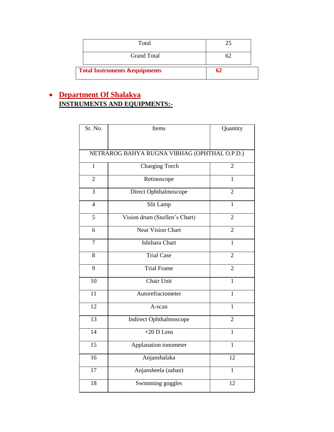|                                          | Total              |  |
|------------------------------------------|--------------------|--|
|                                          | <b>Grand Total</b> |  |
| <b>Total Instruments &amp;equipments</b> |                    |  |

### **Department Of Shalakya INSTRUMENTS AND EQUIPMENTS:-**

| Sr. No.         | Items                                        | Quantity        |
|-----------------|----------------------------------------------|-----------------|
|                 |                                              |                 |
|                 | NETRAROG BAHYA RUGNA VIBHAG (OPHTHAL O.P.D.) |                 |
| 1               | <b>Charging Torch</b>                        | $\overline{2}$  |
| $\overline{2}$  | Retinoscope                                  | 1               |
| 3               | Direct Ophthalmoscope                        | $\overline{2}$  |
| $\overline{4}$  | Slit Lamp                                    | $\overline{1}$  |
| $\overline{5}$  | Vision drum (Snellen's Chart)                | $\overline{2}$  |
| 6               | <b>Near Vision Chart</b>                     | $\overline{2}$  |
| $\overline{7}$  | Ishihara Chart                               | $\mathbf{1}$    |
| 8               | <b>Trial Case</b>                            | $\overline{2}$  |
| 9               | <b>Trial Frame</b>                           | $\overline{2}$  |
| 10              | Chair Unit                                   | $\mathbf{1}$    |
| 11              | Autorefractometer                            | $\mathbf{1}$    |
| 12              | A-scan                                       | $\mathbf{1}$    |
| 13              | Indirect Ophthalmoscope                      | $\overline{2}$  |
| $\overline{14}$ | $+20$ D Lens                                 | $\mathbf{1}$    |
| $\overline{15}$ | Applanation tonometer                        | $\mathbf{1}$    |
| $\overline{16}$ | Anjanshalaka                                 | $\overline{12}$ |
| 17              | Anjansheela (sahan)                          | $\mathbf{1}$    |
| 18              | Swimming goggles                             | 12              |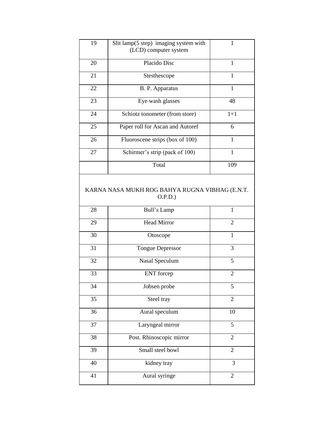| 19 | Slit lamp(5 step) imaging system with<br>(LCD) computer system | 1              |
|----|----------------------------------------------------------------|----------------|
| 20 | Placido Disc                                                   | 1              |
| 21 | Stesthescope                                                   | 1              |
| 22 | B. P. Apparatus                                                | 1              |
| 23 | Eye wash glasses                                               | 48             |
| 24 | Schiotz tonometer (from store)                                 | $1 + 1$        |
| 25 | Paper roll for Ascan and Autoref                               | 6              |
| 26 | Fluoroscene strips (box of 100)                                | $\mathbf{1}$   |
| 27 | Schirmer's strip (pack of 100)                                 | 1              |
|    | Total                                                          | 109            |
|    | KARNA NASA MUKH ROG BAHYA RUGNA VIBHAG (E.N.T.<br>O.P.D.)      |                |
| 28 | Bull's Lamp                                                    | $\mathbf{1}$   |
| 29 | <b>Head Mirror</b>                                             | $\overline{2}$ |
| 30 | Otoscope                                                       | $\mathbf{1}$   |
| 31 | <b>Tongue Depressor</b>                                        | 3              |
| 32 | Nasal Speculum                                                 | 5              |
| 33 | <b>ENT</b> forcep                                              | $\overline{2}$ |
| 34 | Jobsen probe                                                   | 5              |
| 35 | Steel tray                                                     | $\overline{2}$ |
| 36 | Aural speculum                                                 | 10             |
| 37 | Laryngeal mirror                                               | 5              |
| 38 | Post. Rhinoscopic mirror                                       | 2              |
| 39 | Small steel bowl                                               | $\overline{2}$ |
| 40 | kidney tray                                                    | 3              |
| 41 | Aural syringe                                                  | $\overline{2}$ |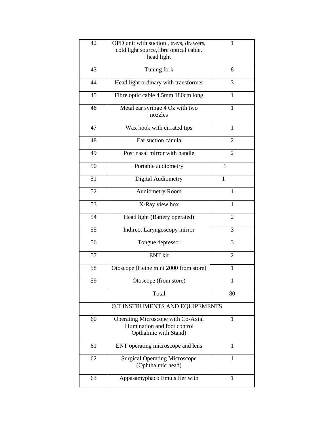| 42 | OPD unit with suction, trays, drawers,<br>cold light source, fibre optical cable,<br>head light | 1              |
|----|-------------------------------------------------------------------------------------------------|----------------|
| 43 | Tuning fork                                                                                     | 8              |
| 44 | Head light ordinary with transformer                                                            | 3              |
| 45 | Fibre optic cable 4.5mm 180cm long                                                              | $\mathbf{1}$   |
| 46 | Metal ear syringe 4 Oz with two<br>nozzles                                                      | $\mathbf{1}$   |
| 47 | Wax hook with cirrated tips                                                                     | 1              |
| 48 | Ear suction canula                                                                              | $\overline{2}$ |
| 49 | Post nasal mirror with handle                                                                   | $\overline{2}$ |
| 50 | Portable audiometry                                                                             | $\mathbf{1}$   |
| 51 | Digital Audiometry                                                                              | 1              |
| 52 | <b>Audiometry Room</b>                                                                          | $\mathbf{1}$   |
| 53 | X-Ray view box                                                                                  | $\mathbf{1}$   |
| 54 | Head light (Battery operated)                                                                   | $\overline{2}$ |
| 55 | Indirect Laryngoscopy mirror                                                                    | 3              |
| 56 | Tongue depressor                                                                                | 3              |
| 57 | <b>ENT</b> kit                                                                                  | 2              |
| 58 | Otoscope (Heine mini 2000 from store)                                                           | $\mathbf{1}$   |
| 59 | Otoscope (from store)                                                                           | $\mathbf{1}$   |
|    | Total                                                                                           | 80             |
|    | O.T INSTRUMENTS AND EQUIPEMENTS                                                                 |                |
| 60 | Operating Microscope with Co-Axial<br>Illumination and foot control<br>Opthalmic with Stand)    | 1              |
| 61 | ENT operating microscope and lens                                                               | 1              |
| 62 | <b>Surgical Operating Microscope</b><br>(Ophthalmic head)                                       | $\mathbf{1}$   |
| 63 | Appasamyphaco Emulsifier with                                                                   | $\mathbf{1}$   |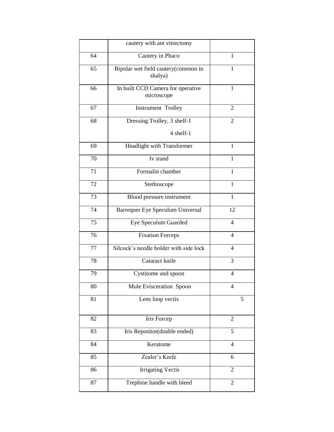|    | cautery with ant vitrectomy                     |                |
|----|-------------------------------------------------|----------------|
| 64 | Cautery in Phaco                                | 1              |
| 65 | Bipolar wet field cautery(common in<br>shalya)  | 1              |
| 66 | In built CCD Camera for operative<br>microscope | 1              |
| 67 | <b>Instrument Trolley</b>                       | 2              |
| 68 | Dressing Trolley, 3 shelf-1                     | 2              |
|    | 4 shelf-1                                       |                |
| 69 | Headlight with Transformer                      | 1              |
| 70 | Iv stand                                        | $\mathbf{1}$   |
| 71 | Formalin chamber                                | $\mathbf{1}$   |
| 72 | Stethoscope                                     | $\mathbf{1}$   |
| 73 | Blood pressure instrument                       | $\mathbf{1}$   |
| 74 | Barrequer Eye Speculum Universal                | 12             |
| 75 | Eye Speculum Guarded                            | $\overline{4}$ |
| 76 | <b>Fixation Forceps</b>                         | $\overline{4}$ |
| 77 | Silcock's needle holder with side lock          | $\overline{4}$ |
| 78 | Cataract knife                                  | 3              |
| 79 | Cystitome and spoon                             | 4              |
| 80 | Mule Evisceration Spoon                         | 4              |
| 81 | Lens loop vectis                                | 5              |
| 82 | Iris Forcep                                     | $\overline{2}$ |
| 83 | Iris Repositor(double ended)                    | 5              |
| 84 | Keratome                                        | $\overline{4}$ |
| 85 | Zealer's Knife                                  | 6              |
| 86 | <b>Irrigating Vectis</b>                        | $\overline{2}$ |
| 87 | Trephine handle with bleed                      | $\overline{2}$ |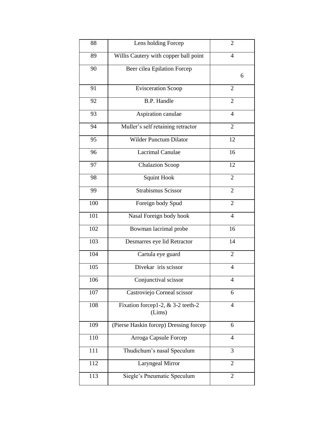| 88  | Lens holding Forcep                           | $\overline{2}$ |
|-----|-----------------------------------------------|----------------|
| 89  | Willis Cautery with copper ball point         | $\overline{4}$ |
| 90  | Beer cilea Epilation Forcep                   | 6              |
|     |                                               |                |
| 91  | <b>Evisceration Scoop</b>                     | $\overline{2}$ |
| 92  | <b>B.P. Handle</b>                            | $\overline{2}$ |
| 93  | Aspiration canulae                            | $\overline{4}$ |
| 94  | Muller's self retaining retractor             | $\overline{2}$ |
| 95  | <b>Wilder Punctum Dilator</b>                 | 12             |
| 96  | Lacrimal Canulae                              | 16             |
| 97  | <b>Chalazion Scoop</b>                        | 12             |
| 98  | Squint Hook                                   | $\overline{2}$ |
| 99  | <b>Strabismus Scissor</b>                     | $\overline{2}$ |
| 100 | Foreign body Spud                             | $\overline{2}$ |
| 101 | Nasal Foreign body hook                       | 4              |
| 102 | Bowman lacrimal probe                         | 16             |
| 103 | Desmarres eye lid Retractor                   | 14             |
| 104 | Cartula eye guard                             | $\overline{2}$ |
| 105 | Divekar iris scissor                          | $\overline{4}$ |
| 106 | Conjunctival scissor                          | 4              |
| 107 | Castroviejo Corneal scissor                   | 6              |
| 108 | Fixation forcep1-2, $&$ 3-2 teeth-2<br>(Lims) | $\overline{4}$ |
| 109 | (Pierse Haskin forcep) Dressing forcep        | 6              |
| 110 | Arroga Capsule Forcep                         | 4              |
| 111 | Thudichum's nasal Speculum                    | 3              |
| 112 | Laryngeal Mirror                              | 2              |
| 113 | Siegle's Pneumatic Speculum                   | $\overline{2}$ |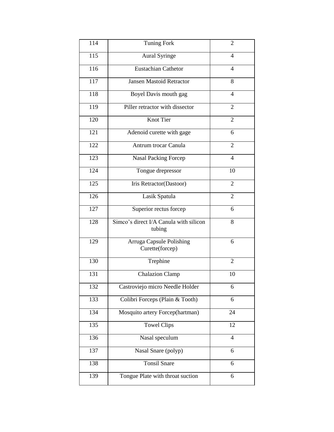| 114 | <b>Tuning Fork</b>                               | 2                        |
|-----|--------------------------------------------------|--------------------------|
| 115 | <b>Aural Syringe</b>                             | 4                        |
| 116 | <b>Eustachian Cathetor</b>                       | $\overline{\mathcal{A}}$ |
| 117 | <b>Jansen Mastoid Retractor</b>                  | 8                        |
| 118 | Boyel Davis mouth gag                            | $\overline{\mathcal{A}}$ |
| 119 | Piller retractor with dissector                  | $\overline{2}$           |
| 120 | <b>Knot Tier</b>                                 | $\overline{2}$           |
| 121 | Adenoid curette with gage                        | 6                        |
| 122 | Antrum trocar Canula                             | $\overline{2}$           |
| 123 | <b>Nasal Packing Forcep</b>                      | $\overline{4}$           |
| 124 | Tongue drepressor                                | 10                       |
| 125 | Iris Retractor(Dastoor)                          | $\overline{2}$           |
| 126 | Lasik Spatula                                    | $\overline{2}$           |
| 127 | Superior rectus forcep                           | 6                        |
| 128 | Simco's direct I/A Canula with silicon<br>tubing | 8                        |
| 129 | Arruga Capsule Polishing<br>Curette(forcep)      | 6                        |
| 130 | Trephine                                         | $\overline{2}$           |
| 131 | <b>Chalazion Clamp</b>                           | 10                       |
| 132 | Castroviejo micro Needle Holder                  | 6                        |
| 133 | Colibri Forceps (Plain & Tooth)                  | 6                        |
| 134 | Mosquito artery Forcep(hartman)                  | 24                       |
| 135 | <b>Towel Clips</b>                               | 12                       |
| 136 | Nasal speculum                                   | $\overline{4}$           |
| 137 | Nasal Snare (polyp)                              | 6                        |
| 138 | <b>Tonsil Snare</b>                              | 6                        |
| 139 | Tongue Plate with throat suction                 | 6                        |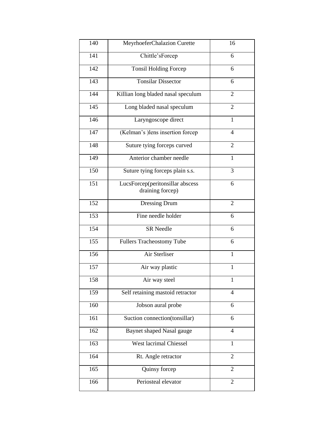| 140 | MeyrhoeferChalazion Curette                          | 16             |
|-----|------------------------------------------------------|----------------|
| 141 | Chittle'sForcep                                      | 6              |
| 142 | <b>Tonsil Holding Forcep</b>                         | 6              |
| 143 | <b>Tonsilar Dissector</b>                            | 6              |
| 144 | Killian long bladed nasal speculum                   | $\overline{2}$ |
| 145 | Long bladed nasal speculum                           | $\overline{2}$ |
| 146 | Laryngoscope direct                                  | $\mathbf{1}$   |
| 147 | (Kelman's ) lens insertion forcep                    | $\overline{4}$ |
| 148 | Suture tying forceps curved                          | $\overline{2}$ |
| 149 | Anterior chamber needle                              | $\mathbf{1}$   |
| 150 | Suture tying forceps plain s.s.                      | 3              |
| 151 | LucsForcep(peritonsillar abscess<br>draining forcep) | 6              |
| 152 | Dressing Drum                                        | $\overline{2}$ |
| 153 | Fine needle holder                                   | 6              |
| 154 | <b>SR</b> Needle                                     | 6              |
| 155 | <b>Fullers Tracheostomy Tube</b>                     | 6              |
| 156 | Air Sterliser                                        | $\mathbf{1}$   |
| 157 | Air way plastic                                      | $\mathbf{1}$   |
| 158 | Air way steel                                        | $\mathbf{1}$   |
| 159 | Self retaining mastoid retractor                     | $\overline{4}$ |
| 160 | Jobson aural probe                                   | 6              |
| 161 | Suction connection(tonsillar)                        | 6              |
| 162 | Baynet shaped Nasal gauge                            | $\overline{4}$ |
| 163 | West lacrimal Chiessel                               | $\mathbf{1}$   |
| 164 | Rt. Angle retractor                                  | $\overline{2}$ |
| 165 | Quinsy forcep                                        | $\overline{2}$ |
| 166 | Periosteal elevator                                  | 2              |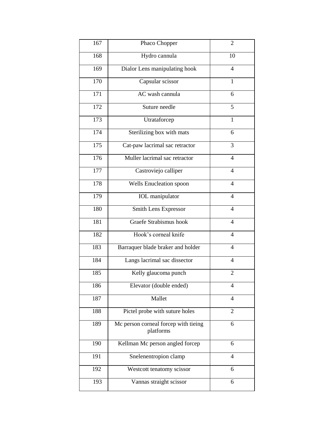| 167              | Phaco Chopper                                     | $\overline{2}$           |
|------------------|---------------------------------------------------|--------------------------|
| 168              | Hydro cannula                                     | 10                       |
| 169              | Dialor Lens manipulating hook                     | $\overline{\mathcal{A}}$ |
| 170              | Capsular scissor                                  | $\mathbf{1}$             |
| 171              | AC wash cannula                                   | 6                        |
| 172              | Suture needle                                     | $\overline{5}$           |
| 173              | Utrataforcep                                      | $\overline{1}$           |
| 174              | Sterilizing box with mats                         | 6                        |
| 175              | Cat-paw lacrimal sac retractor                    | 3                        |
| $\overline{176}$ | Muller lacrimal sac retractor                     | $\overline{4}$           |
| 177              | Castroviejo calliper                              | $\overline{4}$           |
| 178              | Wells Enucleation spoon                           | $\overline{4}$           |
| 179              | <b>IOL</b> manipulator                            | $\overline{4}$           |
| 180              | Smith Lens Expressor                              | $\overline{4}$           |
| 181              | <b>Graefe Strabismus hook</b>                     | $\overline{4}$           |
| 182              | Hook's corneal knife                              | $\overline{4}$           |
| 183              | Barraquer blade braker and holder                 | $\overline{4}$           |
| 184              | Langs lacrimal sac dissector                      | $\overline{4}$           |
| 185              | Kelly glaucoma punch                              | $\overline{2}$           |
| 186              | Elevator (double ended)                           | 4                        |
| 187              | Mallet                                            | $\overline{4}$           |
| 188              | Pictel probe with suture holes                    | 2                        |
| 189              | Mc person corneal forcep with tieing<br>platforms | 6                        |
| 190              | Kellman Mc person angled forcep                   | 6                        |
| 191              | Snelenentropion clamp                             | 4                        |
| 192              | Westcott tenatomy scissor                         | 6                        |
| 193              | Vannas straight scissor                           | 6                        |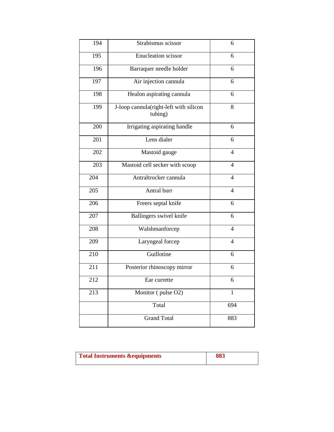| 194 | Strabismus scissor                                | 6              |
|-----|---------------------------------------------------|----------------|
| 195 | <b>Enucleation scissor</b>                        | 6              |
| 196 | Barraquer needle holder                           | 6              |
| 197 | Air injection cannula                             | 6              |
| 198 | Healon aspirating cannula                         | 6              |
| 199 | J-loop cannula(right-left with silicon<br>tubing) | 8              |
| 200 | Irrigating aspirating handle                      | 6              |
| 201 | Lens dialer                                       | 6              |
| 202 | Mastoid gauge                                     | $\overline{4}$ |
| 203 | Mastoid cell secker with scoop                    | $\overline{4}$ |
| 204 | Antraltrocker cannula                             | $\overline{4}$ |
| 205 | Antral burr                                       | 4              |
| 206 | Freers septal knife                               | 6              |
| 207 | <b>Ballingers</b> swivel knife                    | 6              |
| 208 | Walshmanforcep                                    | $\overline{4}$ |
| 209 | Laryngeal forcep                                  | $\overline{4}$ |
| 210 | Guillotine                                        | 6              |
| 211 | Posterior rhinoscopy mirror                       | 6              |
| 212 | Ear currette                                      | 6              |
| 213 | Monitor (pulse O2)                                | $\mathbf{1}$   |
|     | Total                                             | 694            |
|     | <b>Grand Total</b>                                | 883            |

| <b>Total Instruments &amp; equipments</b> | 883 |
|-------------------------------------------|-----|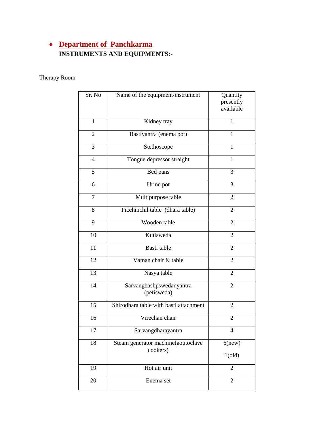### **Department of Panchkarma INSTRUMENTS AND EQUIPMENTS:-**

#### Therapy Room

| Sr. No         | Name of the equipment/instrument               | Quantity<br>presently<br>available |
|----------------|------------------------------------------------|------------------------------------|
| $\mathbf{1}$   | Kidney tray                                    | 1                                  |
| $\overline{2}$ | Bastiyantra (enema pot)                        | 1                                  |
| 3              | Stethoscope                                    | 1                                  |
| $\overline{4}$ | Tongue depressor straight                      | 1                                  |
| 5              | Bed pans                                       | 3                                  |
| 6              | Urine pot                                      | 3                                  |
| $\overline{7}$ | Multipurpose table                             | 2                                  |
| 8              | Picchinchil table (dhara table)                | $\overline{2}$                     |
| 9              | Wooden table                                   | $\overline{2}$                     |
| 10             | Kutisweda                                      | $\overline{2}$                     |
| 11             | Basti table                                    | $\overline{2}$                     |
| 12             | Vaman chair & table                            | $\overline{2}$                     |
| 13             | Nasya table                                    | $\overline{2}$                     |
| 14             | Sarvangbashpswedanyantra<br>(petisweda)        | $\overline{2}$                     |
| 15             | Shirodhara table with basti attachment         | 2                                  |
| 16             | Virechan chair                                 | 2                                  |
| 17             | Sarvangdharayantra                             | $\overline{4}$                     |
| 18             | Steam generator machine(aoutoclave<br>cookers) | $6$ (new)<br>1(old)                |
| 19             | Hot air unit                                   | $\overline{2}$                     |
| 20             | Enema set                                      | $\overline{2}$                     |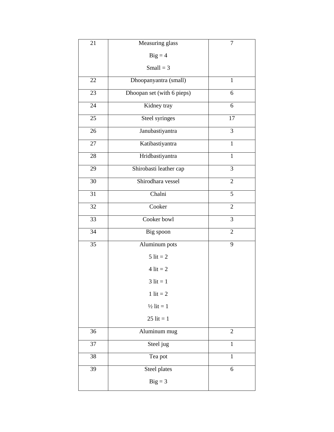| 21 | Measuring glass            | 7              |
|----|----------------------------|----------------|
|    | $Big = 4$                  |                |
|    | $Small = 3$                |                |
| 22 | Dhoopanyantra (small)      | $\overline{1}$ |
| 23 | Dhoopan set (with 6 pieps) | 6              |
| 24 | Kidney tray                | 6              |
| 25 | Steel syringes             | 17             |
| 26 | Janubastiyantra            | 3              |
| 27 | Katibastiyantra            | $\mathbf{1}$   |
| 28 | Hridbastiyantra            | $\mathbf{1}$   |
| 29 | Shirobasti leather cap     | $\overline{3}$ |
| 30 | Shirodhara vessel          | $\overline{2}$ |
| 31 | Chalni                     | 5              |
| 32 | Cooker                     | $\overline{c}$ |
| 33 | Cooker bowl                | 3              |
| 34 | Big spoon                  | $\overline{2}$ |
| 35 | Aluminum pots              | 9              |
|    | $5$ lit = 2                |                |
|    | $4$ lit = 2                |                |
|    | $3$ lit = 1                |                |
|    | 1 lit = $2$                |                |
|    | $\frac{1}{2}$ lit = 1      |                |
|    | $25$ lit = 1               |                |
| 36 | Aluminum mug               | $\overline{2}$ |
| 37 | Steel jug                  | 1              |
| 38 | Tea pot                    | $\mathbf{1}$   |
| 39 | Steel plates               | 6              |
|    | $Big = 3$                  |                |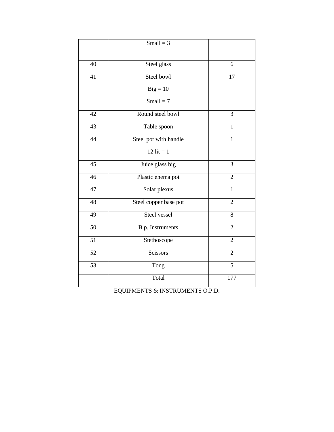|                 | Small = $3$           |                |
|-----------------|-----------------------|----------------|
| 40              | Steel glass           | 6              |
| 41              | Steel bowl            | 17             |
|                 | $Big = 10$            |                |
|                 | $Small = 7$           |                |
| $\overline{42}$ | Round steel bowl      | $\overline{3}$ |
| $\overline{43}$ | Table spoon           | $\mathbf{1}$   |
| $\overline{44}$ | Steel pot with handle | $\mathbf{1}$   |
|                 | 12 lit = $1$          |                |
| 45              | Juice glass big       | $\overline{3}$ |
| 46              | Plastic enema pot     | $\overline{2}$ |
| 47              | Solar plexus          | 1              |
| $\overline{48}$ | Steel copper base pot | $\overline{2}$ |
| 49              | Steel vessel          | 8              |
| 50              | B.p. Instruments      | $\overline{2}$ |
| 51              | Stethoscope           | $\overline{2}$ |
| $\overline{52}$ | Scissors              | $\overline{2}$ |
| $\overline{53}$ | Tong                  | 5              |
|                 | Total                 | 177            |

EQUIPMENTS & INSTRUMENTS O.P.D: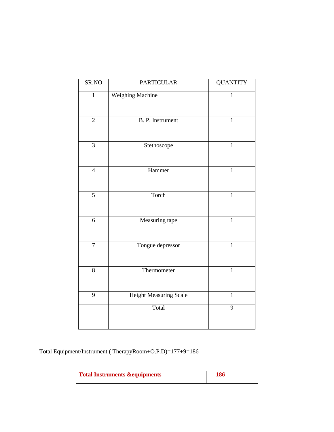| SR.NO          | <b>PARTICULAR</b>             | <b>QUANTITY</b> |
|----------------|-------------------------------|-----------------|
| $\mathbf{1}$   | Weighing Machine              | 1               |
| $\overline{2}$ | <b>B. P. Instrument</b>       | $\overline{1}$  |
| $\overline{3}$ | Stethoscope                   | $\mathbf{1}$    |
| $\overline{4}$ | Hammer                        | $\mathbf{1}$    |
| $\overline{5}$ | Torch                         | $\mathbf{1}$    |
| $\overline{6}$ | Measuring tape                | $\mathbf{1}$    |
| $\overline{7}$ | Tongue depressor              | $\mathbf{1}$    |
| $\overline{8}$ | Thermometer                   | $\mathbf{1}$    |
| 9              | <b>Height Measuring Scale</b> | $\mathbf{1}$    |
|                | Total                         | 9               |

Total Equipment/Instrument ( TherapyRoom+O.P.D)=177+9=186

| <b>Total Instruments &amp; equipments</b> | 186 |
|-------------------------------------------|-----|
|                                           |     |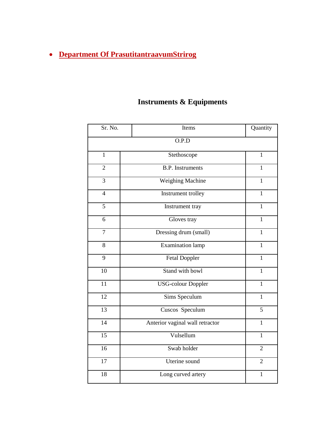# **Department Of PrasutitantraavumStrirog**

# **Instruments & Equipments**

| Sr. No.         | Items                           | Quantity       |
|-----------------|---------------------------------|----------------|
|                 | O.P.D                           |                |
| $\mathbf{1}$    | Stethoscope                     | $\mathbf{1}$   |
| $\overline{2}$  | <b>B.P.</b> Instruments         | $\mathbf{1}$   |
| 3               | Weighing Machine                | $\mathbf{1}$   |
| $\overline{4}$  | Instrument trolley              | $\mathbf{1}$   |
| 5               | Instrument tray                 | $\mathbf{1}$   |
| 6               | Gloves tray                     | $\mathbf{1}$   |
| $\overline{7}$  | Dressing drum (small)           | 1              |
| 8               | <b>Examination lamp</b>         | $\mathbf{1}$   |
| $\overline{9}$  | <b>Fetal Doppler</b>            | $\mathbf{1}$   |
| 10              | Stand with bowl                 | $\mathbf{1}$   |
| $\overline{11}$ | <b>USG-colour Doppler</b>       | $\mathbf{1}$   |
| 12              | Sims Speculum                   | $\mathbf{1}$   |
| 13              | Cuscos Speculum                 | 5              |
| 14              | Anterior vaginal wall retractor | $\mathbf{1}$   |
| 15              | Vulsellum                       | $\mathbf{1}$   |
| 16              | Swab holder                     | $\overline{2}$ |
| 17              | Uterine sound                   | $\overline{2}$ |
| 18              | Long curved artery              | $\mathbf{1}$   |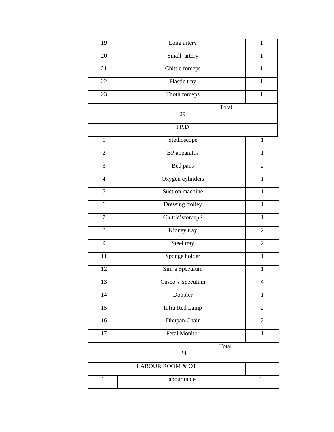| 19             | Long artery          | $\mathbf{1}$   |
|----------------|----------------------|----------------|
| 20             | Small artery         | $\mathbf{1}$   |
| 21             | Chittle forceps      | $\mathbf{1}$   |
| 22             | Plastic tray         | $\mathbf{1}$   |
| 23             | Tooth forceps        | $\mathbf{1}$   |
|                | Total<br>29          |                |
|                | I.P.D                |                |
| $\mathbf{1}$   | Stethoscope          | $\mathbf{1}$   |
| $\mathbf{2}$   | BP apparatus         | $\mathbf{1}$   |
| $\overline{3}$ | Bed pans             | $\overline{2}$ |
| $\overline{4}$ | Oxygen cylinders     | $\mathbf{1}$   |
| $\overline{5}$ | Suction machine      | $\mathbf{1}$   |
| 6              | Dressing trolley     | $\overline{1}$ |
| $\overline{7}$ | Chittle'sforcepS     | $\mathbf{1}$   |
| 8              | Kidney tray          | $\overline{2}$ |
| 9              | Steel tray           | $\overline{2}$ |
| 11             | Sponge holder        | $\mathbf{1}$   |
| 12             | Sim's Speculum       | $\mathbf{1}$   |
| 13             | Cusco's Speculum     | $\overline{4}$ |
| 14             | Doppler              | $\mathbf{1}$   |
| 15             | Infra Red Lamp       | $\overline{2}$ |
| 16             | Dhupan Chair         | $\mathbf{2}$   |
| 17             | <b>Fetal Monitor</b> | $\mathbf{1}$   |
|                | Total<br>24          |                |
|                | LABOUR ROOM & OT     |                |
| $\mathbf{1}$   | Labour table         | $\mathbf{1}$   |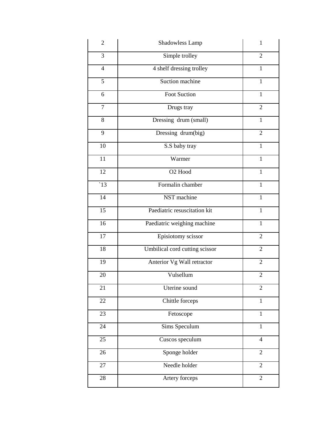| $\mathbf{2}$    | Shadowless Lamp                | 1              |
|-----------------|--------------------------------|----------------|
| 3               | Simple trolley                 | $\overline{2}$ |
| $\overline{4}$  | 4 shelf dressing trolley       | $\mathbf{1}$   |
| 5               | Suction machine                | $\mathbf{1}$   |
| 6               | Foot Suction                   | $\mathbf{1}$   |
| $\overline{7}$  | Drugs tray                     | $\overline{2}$ |
| 8               | Dressing drum (small)          | $\mathbf{1}$   |
| 9               | Dressing drum(big)             | $\overline{2}$ |
| 10              | S.S baby tray                  | $\overline{1}$ |
| 11              | Warmer                         | $\mathbf{1}$   |
| 12              | O <sub>2</sub> Hood            | $\mathbf{1}$   |
| $\overline{13}$ | Formalin chamber               | $\mathbf{1}$   |
| 14              | NST machine                    | $\mathbf{1}$   |
| 15              | Paediatric resuscitation kit   | $\mathbf{1}$   |
| 16              | Paediatric weighing machine    | $\mathbf{1}$   |
| 17              | Episiotomy scissor             | $\overline{2}$ |
| 18              | Umbilical cord cutting scissor | $\overline{2}$ |
| 19              | Anterior Vg Wall retractor     | $\mathbf{2}$   |
| 20              | Vulsellum                      | $\overline{2}$ |
| 21              | Uterine sound                  | $\mathbf{2}$   |
| 22              | Chittle forceps                | $\mathbf{1}$   |
| 23              | Fetoscope                      | $\overline{1}$ |
| 24              | Sims Speculum                  | $\mathbf{1}$   |
| 25              | Cuscos speculum                | $\overline{4}$ |
| 26              | Sponge holder                  | $\overline{2}$ |
| 27              | Needle holder                  | $\overline{2}$ |
| 28              | Artery forceps                 | $\overline{2}$ |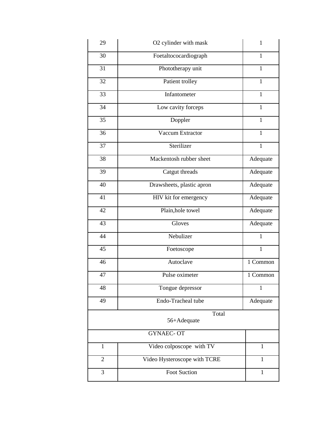| 29             | O2 cylinder with mask        | 1            |
|----------------|------------------------------|--------------|
| 30             | Foetaltococardiograph        | 1            |
| 31             | Phototherapy unit            | $\mathbf{1}$ |
| 32             | Patient trolley              | $\mathbf{1}$ |
| 33             | Infantometer                 | $\mathbf{1}$ |
| 34             | Low cavity forceps           | $\mathbf{1}$ |
| 35             | Doppler                      | $\mathbf{1}$ |
| 36             | Vaccum Extractor             | $\mathbf{1}$ |
| 37             | Sterilizer                   | $\mathbf{1}$ |
| 38             | Mackentosh rubber sheet      | Adequate     |
| 39             | Catgut threads               | Adequate     |
| 40             | Drawsheets, plastic apron    | Adequate     |
| 41             | HIV kit for emergency        | Adequate     |
| 42             | Plain, hole towel            | Adequate     |
| 43             | Gloves                       | Adequate     |
| 44             | Nebulizer                    | $\mathbf{1}$ |
| 45             | Foetoscope                   | $\mathbf{1}$ |
| 46             | Autoclave                    | 1 Common     |
| 47             | Pulse oximeter               | 1 Common     |
| 48             | Tongue depressor             | 1            |
| 49             | Endo-Tracheal tube           | Adequate     |
|                | Total<br>56+Adequate         |              |
|                | <b>GYNAEC-OT</b>             |              |
| $\mathbf{1}$   | Video colposcope with TV     | $\mathbf{1}$ |
| $\overline{2}$ | Video Hysteroscope with TCRE | $\mathbf{1}$ |
| $\overline{3}$ | <b>Foot Suction</b>          | $\mathbf{1}$ |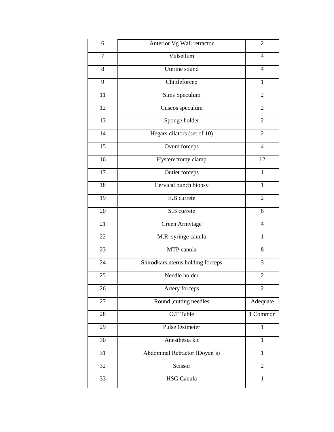| 6      | Anterior Vg Wall retractor        | $\overline{2}$ |
|--------|-----------------------------------|----------------|
| $\tau$ | Vulsellum                         | $\overline{4}$ |
| 8      | Uterine sound                     | $\overline{4}$ |
| 9      | Chittleforcep                     | $\mathbf{1}$   |
| 11     | Sims Speculum                     | $\overline{2}$ |
| 12     | Cuscos speculum                   | $\overline{2}$ |
| 13     | Sponge holder                     | $\overline{2}$ |
| 14     | Hegars dilators (set of 10)       | $\overline{2}$ |
| 15     | Ovum forceps                      | $\overline{4}$ |
| 16     | Hysterectomy clamp                | 12             |
| 17     | Outlet forceps                    | $\overline{1}$ |
| 18     | Cervical punch biopsy             | $\mathbf{1}$   |
| 19     | E.B currete                       | $\overline{2}$ |
| 20     | S.B currete                       | 6              |
| 21     | Green Armytage                    | $\overline{4}$ |
| 22     | M.R. syringe canula               | $\mathbf{1}$   |
| 23     | MTP canula                        | 8              |
| 24     | Shirodkars uterus holding forceps | 3              |
| 25     | Needle holder                     | $\overline{2}$ |
| 26     | Artery forceps                    | $\overline{2}$ |
| 27     | Round ,cutting needles            | Adequate       |
| 28     | O.T Table                         | 1 Common       |
| 29     | Pulse Oximeter                    | $\mathbf{1}$   |
| 30     | Anesthesia kit                    | $\mathbf{1}$   |
| 31     | Abdominal Retractor (Doyen's)     | $\mathbf{1}$   |
| 32     | Scissor                           | $\overline{2}$ |
| 33     | <b>HSG</b> Canula                 | $\mathbf{1}$   |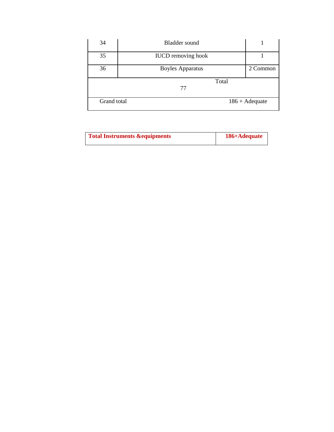| 34          | Bladder sound             |                         |
|-------------|---------------------------|-------------------------|
| 35          | <b>IUCD</b> removing hook |                         |
| 36          | <b>Boyles Apparatus</b>   | 2 Common                |
|             | Total                     |                         |
|             | 77                        |                         |
| Grand total |                           | $186 + \text{Adequate}$ |

| Total Instruments & equipments | 186+Adequate |
|--------------------------------|--------------|
|--------------------------------|--------------|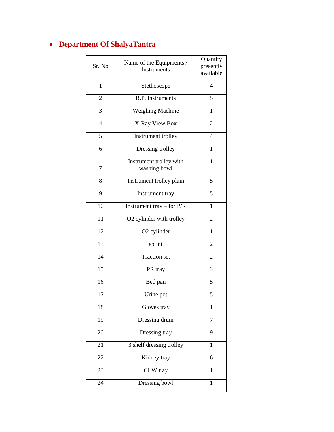## **Department Of ShalyaTantra**

|                 | Name of the Equipments /      | Quantity       |
|-----------------|-------------------------------|----------------|
| Sr. No          | Instruments                   | presently      |
|                 |                               | available      |
|                 |                               |                |
| $\mathbf{1}$    | Stethoscope                   | $\overline{4}$ |
|                 |                               |                |
|                 | <b>B.P.</b> Instruments       | 5              |
| 2               |                               |                |
|                 |                               |                |
| 3               | Weighing Machine              | 1              |
|                 |                               |                |
| 4               | X-Ray View Box                | 2              |
|                 |                               |                |
| 5               | Instrument trolley            | 4              |
|                 |                               |                |
| 6               | Dressing trolley              | $\mathbf{1}$   |
|                 |                               |                |
|                 | Instrument trolley with       | $\mathbf{1}$   |
|                 |                               |                |
| 7               | washing bowl                  |                |
|                 |                               |                |
| 8               | Instrument trolley plain      | 5              |
|                 |                               |                |
| 9               | Instrument tray               | 5              |
|                 |                               |                |
| 10              | Instrument tray $-$ for $P/R$ | 1              |
|                 |                               |                |
| 11              | O2 cylinder with trolley      | $\overline{2}$ |
|                 |                               |                |
| 12              |                               |                |
|                 | O2 cylinder                   | 1              |
|                 |                               |                |
| 13              | splint                        | $\overline{c}$ |
|                 |                               |                |
| 14              | <b>Traction set</b>           | $\overline{2}$ |
|                 |                               |                |
| $\overline{15}$ | PR tray                       | 3              |
|                 |                               |                |
| 16              | Bed pan                       | 5              |
|                 |                               |                |
| 17              | Urine pot                     | 5              |
|                 |                               |                |
|                 |                               |                |
| 18              | Gloves tray                   | $\mathbf{1}$   |
|                 |                               |                |
| 19              | Dressing drum                 | 7              |
|                 |                               |                |
| 20              | Dressing tray                 | 9              |
|                 |                               |                |
| 21              | 3 shelf dressing trolley      | $\mathbf{1}$   |
|                 |                               |                |
| 22              | Kidney tray                   | 6              |
|                 |                               |                |
| 23              | CLW tray                      | $\mathbf{1}$   |
|                 |                               |                |
| 24              |                               |                |
|                 | Dressing bowl                 | $\mathbf{1}$   |
|                 |                               |                |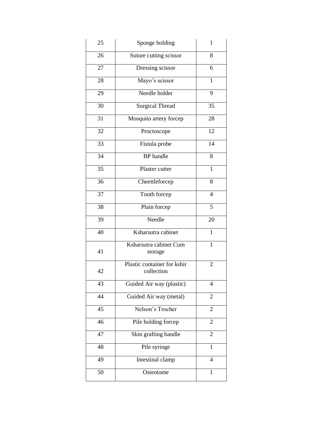| 25              | Sponge holding                            | $\mathbf{1}$   |
|-----------------|-------------------------------------------|----------------|
| 26              | Suture cutting scissor                    | 8              |
| 27              | Dressing scissor                          | 6              |
| 28              | Mayo's scissor                            | $\overline{1}$ |
| 29              | Needle holder                             | 9              |
| 30              | Surgical Thread                           | 35             |
| 31              | Mosquito artery forcep                    | 28             |
| 32              | Proctoscope                               | 12             |
| 33              | Fistula probe                             | 14             |
| $\overline{34}$ | <b>BP</b> handle                          | 8              |
| $\overline{35}$ | Plaster cutter                            | $\mathbf{1}$   |
| 36              | Cheettleforcep                            | 8              |
| 37              | Tooth forcep                              | $\overline{4}$ |
| 38              | Plain forcep                              | 5              |
| 39              | Needle                                    | 20             |
| 40              | Ksharsutra cabinet                        | 1              |
| 41              | Ksharsutra cabinet Cum<br>storage         | $\mathbf{1}$   |
| 42              | Plastic container for kshir<br>collection | $\overline{2}$ |
| 43              | Guided Air way (plastic)                  | 4              |
| 44              | Guided Air way (metal)                    | $\overline{2}$ |
| 45              | Nelson's Trocher                          | $\overline{2}$ |
| 46              | Pile holding forcep                       | $\overline{2}$ |
| 47              | Skin grafting handle                      | $\overline{2}$ |
| 48              | Pile syringe                              | $\mathbf{1}$   |
| 49              | Intestinal clamp                          | $\overline{4}$ |
| 50              | Osteotome                                 | $\mathbf{1}$   |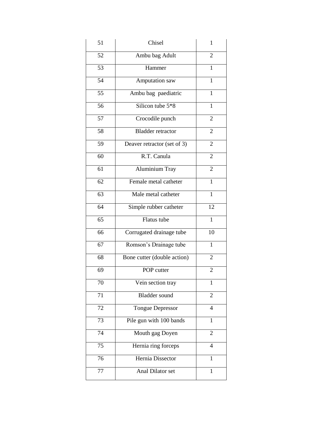| 51              | Chisel                      | 1              |
|-----------------|-----------------------------|----------------|
| 52              | Ambu bag Adult              | 2              |
| 53              | Hammer                      | 1              |
| 54              | Amputation saw              | $\mathbf{1}$   |
| 55              | Ambu bag paediatric         | $\mathbf{1}$   |
| $\overline{56}$ | Silicon tube 5*8            | $\mathbf{1}$   |
| 57              | Crocodile punch             | $\overline{2}$ |
| 58              | <b>Bladder retractor</b>    | 2              |
| 59              | Deaver retractor (set of 3) | 2              |
| 60              | R.T. Canula                 | $\overline{2}$ |
| 61              | Aluminium Tray              | $\overline{2}$ |
| 62              | Female metal catheter       | 1              |
| $\overline{63}$ | Male metal catheter         | $\mathbf{1}$   |
| $\overline{64}$ | Simple rubber catheter      | 12             |
| 65              | Flatus tube                 | $\mathbf{1}$   |
| 66              | Corrugated drainage tube    | 10             |
| 67              | Romson's Drainage tube      | 1              |
| 68              | Bone cutter (double action) | 2              |
| 69              | POP cutter                  | 2              |
| 70              | Vein section tray           | 1              |
| 71              | <b>Bladder</b> sound        | $\sqrt{2}$     |
| 72              | <b>Tongue Depressor</b>     | 4              |
| 73              | Pile gun with 100 bands     | 1              |
| 74              | Mouth gag Doyen             | 2              |
| 75              | Hernia ring forceps         | $\overline{4}$ |
| 76              | Hernia Dissector            | 1              |
| 77              | Anal Dilator set            | $\mathbf{1}$   |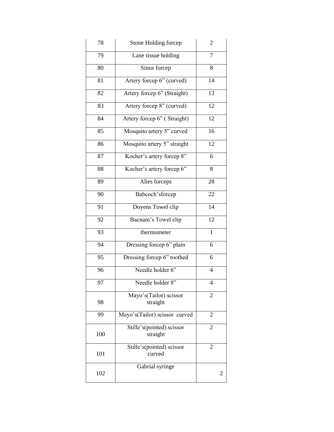| 78  | Stone Holding forcep                  | $\mathbf{2}$    |
|-----|---------------------------------------|-----------------|
| 79  | Lane tissue holding                   | $\overline{7}$  |
| 80  | Sinus forcep                          | 8               |
| 81  | Artery forcep 6" (curved)             | 14              |
| 82  | Artery forcep 6" (Straight)           | 13              |
| 83  | Artery forcep 8" (curved)             | 12              |
| 84  | Artery forcep 6" (Straight)           | 12              |
| 85  | Mosquito artery 5" curved             | 16              |
| 86  | Mosquito artery 5" straight           | $\overline{12}$ |
| 87  | Kocher's artery forcep 8"             | 6               |
| 88  | Kocher's artery forcep 6"             | 8               |
| 89  | Alies forceps                         | 28              |
| 90  | Babcoch'sforcep                       | 22              |
| 91  | Doyens Towel clip                     | 14              |
| 92  | Bacnam's Towel clip                   | 12              |
| 93  | thermometer                           | 1               |
| 94  | Dressing forcep 6" plain              | 6               |
| 95  | Dressing forcep 6" toothed            | 6               |
| 96  | Needle holder 6"                      | $\overline{4}$  |
| 97  | Needle holder 8"                      | Δ               |
| 98  | Mayo's(Tailor) scissor<br>straight    | $\overline{2}$  |
| 99  | Mayo's(Tailor) scissor curved         | $\overline{2}$  |
| 100 | Stille's(pointed) scissor<br>straight | $\overline{2}$  |
| 101 | Stille's(pointed) scissor<br>curved   | $\overline{c}$  |
| 102 | Gabrial syringe                       | 2               |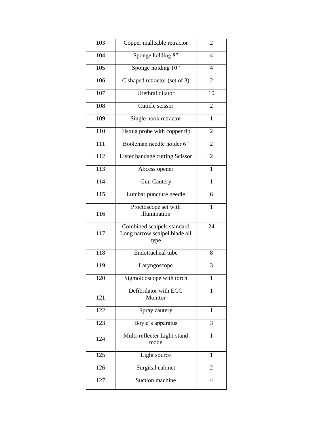| 103              | Copper malleable retractor                                          | 2              |
|------------------|---------------------------------------------------------------------|----------------|
| 104              | Sponge holding 8"                                                   | 4              |
| 105              | Sponge holding $10"$                                                | $\overline{4}$ |
| 106              | C shaped retractor (set of 3)                                       | 2              |
| 107              | Urethral dilator                                                    | 10             |
| 108              | Cuticle scissor                                                     | $\overline{2}$ |
| 109              | Single hook retractor                                               | $\mathbf{1}$   |
| 110              | Fistula probe with copper tip                                       | $\overline{c}$ |
| 111              | Booleman needle holder 6"                                           | 2              |
| 112              | Lister bandage cutting Scissor                                      | 2              |
| 113              | Abcess opener                                                       | 1              |
| 114              | <b>Gun Cautery</b>                                                  | $\mathbf{1}$   |
| $\overline{115}$ | Lumbar puncture needle                                              | 6              |
| 116              | Proctoscope set with                                                | $\mathbf{1}$   |
|                  | illumination                                                        |                |
| 117              | Combined scalpels standard<br>Long narrow scalpel blade all<br>type | 24             |
| 118              | Endotracheal tube                                                   | 8              |
| 119              | Laryngoscope                                                        | 3              |
| 120              | Sigmoidoscope with torch                                            | $\mathbf{1}$   |
| 121              | Defibrilator with ECG<br>Monitor                                    | 1              |
| 122              | Spray cautery                                                       | 1              |
| 123              | Boyle's apparatus                                                   | 3              |
| 124              | Multi-reflecter Light-stand<br>mode                                 | 1              |
| 125              | Light source                                                        | 1              |
| 126              | Surgical cabinet                                                    | $\overline{2}$ |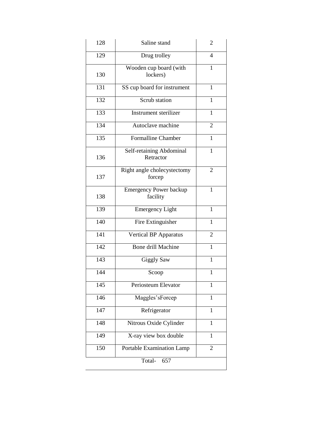| 128           | Saline stand                              | $\overline{2}$ |  |
|---------------|-------------------------------------------|----------------|--|
| 129           | Drug trolley                              | 4              |  |
| 130           | Wooden cup board (with<br>lockers)        | 1              |  |
| 131           | SS cup board for instrument               | $\mathbf{1}$   |  |
| 132           | Scrub station                             | $\mathbf{1}$   |  |
| 133           | Instrument sterilizer                     | $\mathbf{1}$   |  |
| 134           | Autoclave machine                         | $\overline{2}$ |  |
| 135           | <b>Formalline Chamber</b>                 | 1              |  |
| 136           | Self-retaining Abdominal<br>Retractor     | 1              |  |
| 137           | Right angle cholecystectomy<br>forcep     | 2              |  |
| 138           | <b>Emergency Power backup</b><br>facility | 1              |  |
| 139           | <b>Emergency Light</b>                    | 1              |  |
| 140           | Fire Extinguisher                         | 1              |  |
| 141           | <b>Vertical BP Apparatus</b>              | $\overline{2}$ |  |
| 142           | Bone drill Machine                        | 1              |  |
| 143           | <b>Giggly Saw</b>                         | $\mathbf{1}$   |  |
| 144           | Scoop                                     | $\mathbf{1}$   |  |
| 145           | Periosteum Elevator                       | 1              |  |
| 146           | Maggles'sForcep                           | 1              |  |
| 147           | Refrigerator                              | 1              |  |
| 148           | Nitrous Oxide Cylinder                    | 1              |  |
| 149           | X-ray view box double                     | 1              |  |
| 150           | Portable Examination Lamp                 | $\overline{2}$ |  |
| Total-<br>657 |                                           |                |  |